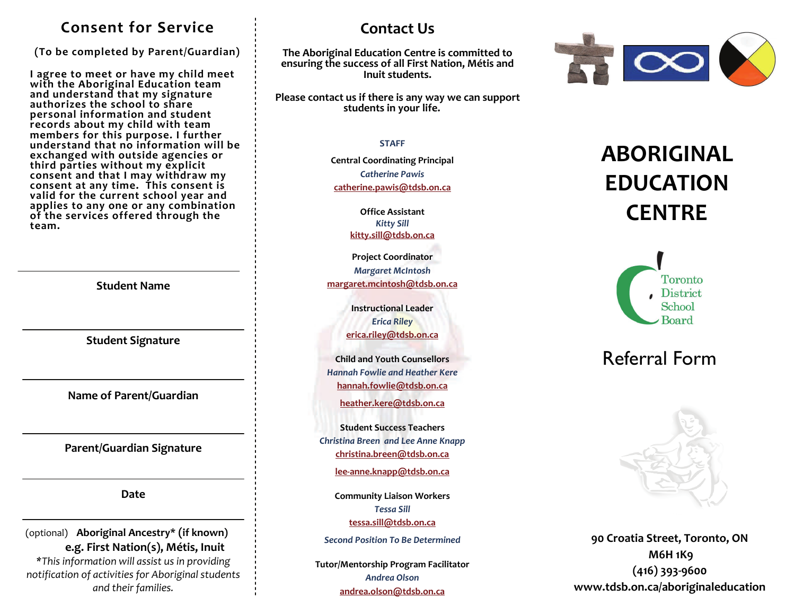### **Consent for Service**

**(To be completed by Parent/Guardian)**

I agree to meet or have my child meet **agree to meet or have my child meet with the Aboriginal Education team and understand that my signature authorizes the school to share personal information and student records about my child with team members for this purpose. <sup>I</sup> further understand that no information will be exchanged with outside agencies or third parties without my explicit consent and that <sup>I</sup> may withdraw my consent at any time. This consent is valid for the current school year and applies to any one or any combination of the services offered through the team.**

**Student Name**

**Student Signature**

**Name of Parent/Guardian**

**Parent/Guardian Signature**

**Date**

(optional) **Aboriginal Ancestry\* (if known) e.g. First Nation(s), Métis, Inuit**

*\*This information will assist us in providing notification of activities for Aboriginal students and their families.*

## **Contact Us**

**The Aboriginal Education Centre is committed to ensuring the success of all First Nation, Métis and Inuit students.**

**Please contact us if there is any way we can suppor<sup>t</sup> students in your life.**

#### **STAFF**

**Central Coordinating Principal** *Catherine Pawis* **[catherine.pawis@tdsb.on.ca](mailto:catherine.pawis@tdsb.on.ca)**

> **Office Assistant** *Kitty Sill* **[kitty.sill@tdsb.on.ca](mailto:kitty.sill@tdsb.on.ca)**

**Project Coordinator** *Margaret McIntosh* **[margaret.mcintosh@tdsb.on.ca](mailto:margaret.mcintosh@tdsb.on.ca)**

> **Instructional Leader***Erica Riley* **erica.riley@tdsb.on.ca**

**Child and Youth Counsellors** *Hannah Fowlie and Heather Kere* **[hannah.fowlie@tdsb.on.ca](mailto:hannah.fowlie@tdsb.on.ca)**

**[heather.kere@tdsb.on.ca](mailto:hannah.fowlie@tdsb.on.ca)**

**Student Success Teachers** *Christina Breen and Lee Anne Knapp* **[christina.breen@tdsb.on.ca](mailto:tessa.sill@tdsb.on.ca)**

**lee‐[anne.knapp@tdsb.on.ca](mailto:erica.riley@tdsb.on.ca)**

**Community Liaison Workers** *Tessa Sill* **[tessa.sill@tdsb.on.ca](mailto:tessa.sill@tdsb.on.ca)**

*Second Position To Be Determined*

**Tutor/Mentorship Program Facilitator** *Andrea Olson***[andrea.olson@tdsb.on.ca](mailto:andrea.olson@tdsb.on.ca)**



# **ABORIGINALEDUCATIONCENTRE**



## Referral Form



**90 Croatia Street, Toronto, ON M6H 1K9 (416) 393‐9600 www.tdsb.on.ca/aboriginaleducation**